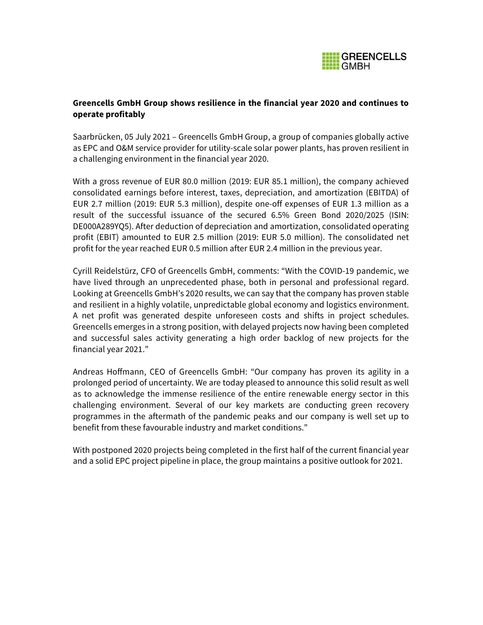

## Greencells GmbH Group shows resilience in the financial year 2020 and continues to operate profitably

Saarbrücken, 05 July 2021 – Greencells GmbH Group, a group of companies globally active as EPC and O&M service provider for utility-scale solar power plants, has proven resilient in a challenging environment in the financial year 2020.

With a gross revenue of EUR 80.0 million (2019: EUR 85.1 million), the company achieved consolidated earnings before interest, taxes, depreciation, and amortization (EBITDA) of EUR 2.7 million (2019: EUR 5.3 million), despite one-off expenses of EUR 1.3 million as a result of the successful issuance of the secured 6.5% Green Bond 2020/2025 (ISIN: DE000A289YQ5). After deduction of depreciation and amortization, consolidated operating profit (EBIT) amounted to EUR 2.5 million (2019: EUR 5.0 million). The consolidated net profit for the year reached EUR 0.5 million after EUR 2.4 million in the previous year.

Cyrill Reidelstürz, CFO of Greencells GmbH, comments: "With the COVID-19 pandemic, we have lived through an unprecedented phase, both in personal and professional regard. Looking at Greencells GmbH's 2020 results, we can say that the company has proven stable and resilient in a highly volatile, unpredictable global economy and logistics environment. A net profit was generated despite unforeseen costs and shifts in project schedules. Greencells emerges in a strong position, with delayed projects now having been completed and successful sales activity generating a high order backlog of new projects for the financial year 2021."

Andreas Hoffmann, CEO of Greencells GmbH: "Our company has proven its agility in a prolonged period of uncertainty. We are today pleased to announce this solid result as well as to acknowledge the immense resilience of the entire renewable energy sector in this challenging environment. Several of our key markets are conducting green recovery programmes in the aftermath of the pandemic peaks and our company is well set up to benefit from these favourable industry and market conditions."

With postponed 2020 projects being completed in the first half of the current financial year and a solid EPC project pipeline in place, the group maintains a positive outlook for 2021.